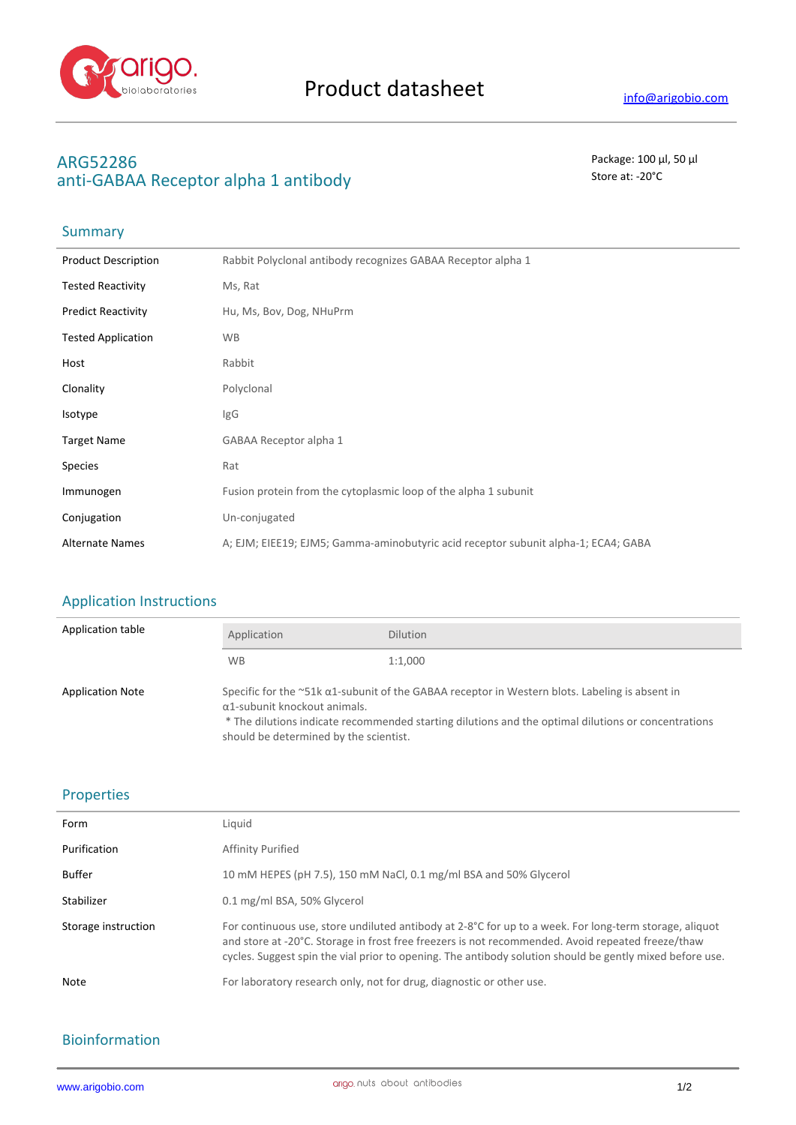

# **ARG52286** Package: 100 μl, 50 μl anti-GABAA Receptor alpha 1 antibody store at: -20<sup>°</sup>C

## Summary

| <b>Product Description</b> | Rabbit Polyclonal antibody recognizes GABAA Receptor alpha 1                       |
|----------------------------|------------------------------------------------------------------------------------|
| <b>Tested Reactivity</b>   | Ms, Rat                                                                            |
| <b>Predict Reactivity</b>  | Hu, Ms, Bov, Dog, NHuPrm                                                           |
| <b>Tested Application</b>  | <b>WB</b>                                                                          |
| Host                       | Rabbit                                                                             |
| Clonality                  | Polyclonal                                                                         |
| Isotype                    | lgG                                                                                |
| <b>Target Name</b>         | GABAA Receptor alpha 1                                                             |
| <b>Species</b>             | Rat                                                                                |
| Immunogen                  | Fusion protein from the cytoplasmic loop of the alpha 1 subunit                    |
| Conjugation                | Un-conjugated                                                                      |
| <b>Alternate Names</b>     | A; EJM; EIEE19; EJM5; Gamma-aminobutyric acid receptor subunit alpha-1; ECA4; GABA |

## Application Instructions

| Application table       | Application                                                                    | <b>Dilution</b>                                                                                                                                                                                                     |
|-------------------------|--------------------------------------------------------------------------------|---------------------------------------------------------------------------------------------------------------------------------------------------------------------------------------------------------------------|
|                         | <b>WB</b>                                                                      | 1:1,000                                                                                                                                                                                                             |
| <b>Application Note</b> | $\alpha$ 1-subunit knockout animals.<br>should be determined by the scientist. | Specific for the $\sim$ 51k $\alpha$ 1-subunit of the GABAA receptor in Western blots. Labeling is absent in<br>* The dilutions indicate recommended starting dilutions and the optimal dilutions or concentrations |

#### Properties

| Form                | Liquid                                                                                                                                                                                                                                                                                                                  |
|---------------------|-------------------------------------------------------------------------------------------------------------------------------------------------------------------------------------------------------------------------------------------------------------------------------------------------------------------------|
| Purification        | Affinity Purified                                                                                                                                                                                                                                                                                                       |
| <b>Buffer</b>       | 10 mM HEPES (pH 7.5), 150 mM NaCl, 0.1 mg/ml BSA and 50% Glycerol                                                                                                                                                                                                                                                       |
| Stabilizer          | 0.1 mg/ml BSA, 50% Glycerol                                                                                                                                                                                                                                                                                             |
| Storage instruction | For continuous use, store undiluted antibody at 2-8°C for up to a week. For long-term storage, aliquot<br>and store at -20°C. Storage in frost free freezers is not recommended. Avoid repeated freeze/thaw<br>cycles. Suggest spin the vial prior to opening. The antibody solution should be gently mixed before use. |
| <b>Note</b>         | For laboratory research only, not for drug, diagnostic or other use.                                                                                                                                                                                                                                                    |

## Bioinformation